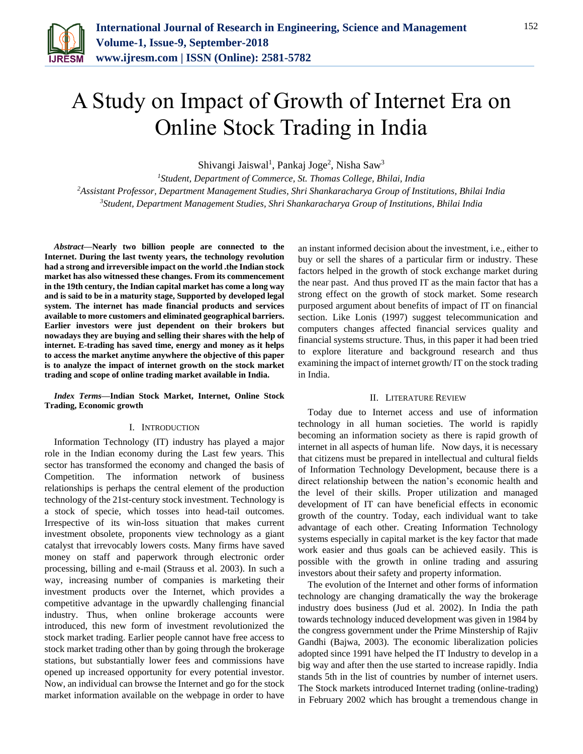

# A Study on Impact of Growth of Internet Era on Online Stock Trading in India

Shivangi Jaiswal<sup>1</sup>, Pankaj Joge<sup>2</sup>, Nisha Saw<sup>3</sup>

*<sup>1</sup>Student, Department of Commerce, St. Thomas College, Bhilai, India <sup>2</sup>Assistant Professor, Department Management Studies, Shri Shankaracharya Group of Institutions, Bhilai India 3Student, Department Management Studies, Shri Shankaracharya Group of Institutions, Bhilai India* 

*Abstract***—Nearly two billion people are connected to the Internet. During the last twenty years, the technology revolution had a strong and irreversible impact on the world .the Indian stock market has also witnessed these changes. From its commencement in the 19th century, the Indian capital market has come a long way and is said to be in a maturity stage, Supported by developed legal system. The internet has made financial products and services available to more customers and eliminated geographical barriers. Earlier investors were just dependent on their brokers but nowadays they are buying and selling their shares with the help of internet. E-trading has saved time, energy and money as it helps to access the market anytime anywhere the objective of this paper is to analyze the impact of internet growth on the stock market trading and scope of online trading market available in India.**

*Index Terms***—Indian Stock Market, Internet, Online Stock Trading, Economic growth**

#### I. INTRODUCTION

Information Technology (IT) industry has played a major role in the Indian economy during the Last few years. This sector has transformed the economy and changed the basis of Competition. The information network of business relationships is perhaps the central element of the production technology of the 21st-century stock investment. Technology is a stock of specie, which tosses into head-tail outcomes. Irrespective of its win-loss situation that makes current investment obsolete, proponents view technology as a giant catalyst that irrevocably lowers costs. Many firms have saved money on staff and paperwork through electronic order processing, billing and e-mail (Strauss et al. 2003). In such a way, increasing number of companies is marketing their investment products over the Internet, which provides a competitive advantage in the upwardly challenging financial industry. Thus, when online brokerage accounts were introduced, this new form of investment revolutionized the stock market trading. Earlier people cannot have free access to stock market trading other than by going through the brokerage stations, but substantially lower fees and commissions have opened up increased opportunity for every potential investor. Now, an individual can browse the Internet and go for the stock market information available on the webpage in order to have an instant informed decision about the investment, i.e., either to buy or sell the shares of a particular firm or industry. These factors helped in the growth of stock exchange market during the near past. And thus proved IT as the main factor that has a strong effect on the growth of stock market. Some research purposed argument about benefits of impact of IT on financial section. Like Lonis (1997) suggest telecommunication and computers changes affected financial services quality and financial systems structure. Thus, in this paper it had been tried to explore literature and background research and thus examining the impact of internet growth/ IT on the stock trading in India.

#### II. LITERATURE REVIEW

Today due to Internet access and use of information technology in all human societies. The world is rapidly becoming an information society as there is rapid growth of internet in all aspects of human life. Now days, it is necessary that citizens must be prepared in intellectual and cultural fields of Information Technology Development, because there is a direct relationship between the nation's economic health and the level of their skills. Proper utilization and managed development of IT can have beneficial effects in economic growth of the country. Today, each individual want to take advantage of each other. Creating Information Technology systems especially in capital market is the key factor that made work easier and thus goals can be achieved easily. This is possible with the growth in online trading and assuring investors about their safety and property information.

The evolution of the Internet and other forms of information technology are changing dramatically the way the brokerage industry does business (Jud et al. 2002). In India the path towards technology induced development was given in 1984 by the congress government under the Prime Minstership of Rajiv Gandhi (Bajwa, 2003). The economic liberalization policies adopted since 1991 have helped the IT Industry to develop in a big way and after then the use started to increase rapidly. India stands 5th in the list of countries by number of internet users. The Stock markets introduced Internet trading (online-trading) in February 2002 which has brought a tremendous change in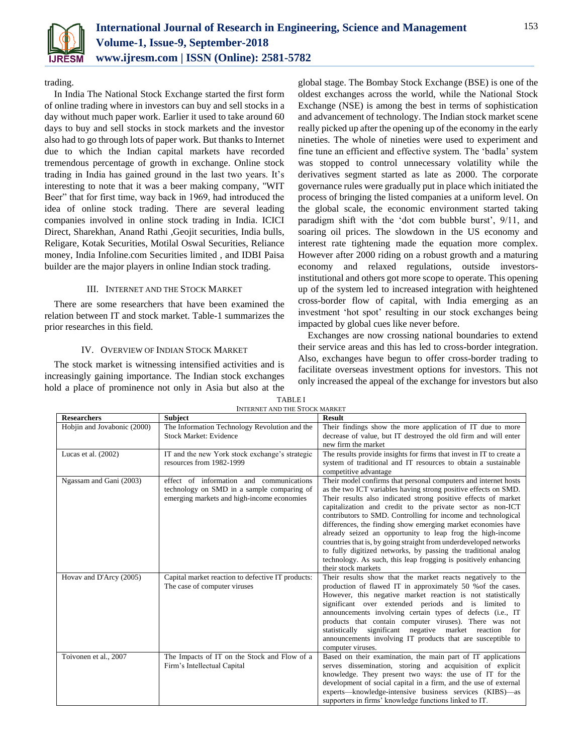

# trading.

In India The National Stock Exchange started the first form of online trading where in investors can buy and sell stocks in a day without much paper work. Earlier it used to take around 60 days to buy and sell stocks in stock markets and the investor also had to go through lots of paper work. But thanks to Internet due to which the Indian capital markets have recorded tremendous percentage of growth in exchange. Online stock trading in India has gained ground in the last two years. It's interesting to note that it was a beer making company, "WIT Beer" that for first time, way back in 1969, had introduced the idea of online stock trading. There are several leading companies involved in online stock trading in India. ICICI Direct, Sharekhan, Anand Rathi ,Geojit securities, India bulls, Religare, Kotak Securities, Motilal Oswal Securities, Reliance money, India Infoline.com Securities limited , and IDBI Paisa builder are the major players in online Indian stock trading.

# III. INTERNET AND THE STOCK MARKET

There are some researchers that have been examined the relation between IT and stock market. Table-1 summarizes the prior researches in this field.

### IV. OVERVIEW OF INDIAN STOCK MARKET

The stock market is witnessing intensified activities and is increasingly gaining importance. The Indian stock exchanges hold a place of prominence not only in Asia but also at the global stage. The Bombay Stock Exchange (BSE) is one of the oldest exchanges across the world, while the National Stock Exchange (NSE) is among the best in terms of sophistication and advancement of technology. The Indian stock market scene really picked up after the opening up of the economy in the early nineties. The whole of nineties were used to experiment and fine tune an efficient and effective system. The 'badla' system was stopped to control unnecessary volatility while the derivatives segment started as late as 2000. The corporate governance rules were gradually put in place which initiated the process of bringing the listed companies at a uniform level. On the global scale, the economic environment started taking paradigm shift with the 'dot com bubble burst', 9/11, and soaring oil prices. The slowdown in the US economy and interest rate tightening made the equation more complex. However after 2000 riding on a robust growth and a maturing economy and relaxed regulations, outside investorsinstitutional and others got more scope to operate. This opening up of the system led to increased integration with heightened cross-border flow of capital, with India emerging as an investment 'hot spot' resulting in our stock exchanges being impacted by global cues like never before.

Exchanges are now crossing national boundaries to extend their service areas and this has led to cross-border integration. Also, exchanges have begun to offer cross-border trading to facilitate overseas investment options for investors. This not only increased the appeal of the exchange for investors but also

| <b>Researchers</b>          | INTERNET AIND THE STOCK MARKET<br><b>Subject</b>                                                                                     | <b>Result</b>                                                                                                                                                                                                                                                                                                                                                                                                                                                                                                                                                                                                                                                                                      |
|-----------------------------|--------------------------------------------------------------------------------------------------------------------------------------|----------------------------------------------------------------------------------------------------------------------------------------------------------------------------------------------------------------------------------------------------------------------------------------------------------------------------------------------------------------------------------------------------------------------------------------------------------------------------------------------------------------------------------------------------------------------------------------------------------------------------------------------------------------------------------------------------|
| Hobjin and Jovabonic (2000) | The Information Technology Revolution and the<br>Stock Market: Evidence                                                              | Their findings show the more application of IT due to more<br>decrease of value, but IT destroyed the old firm and will enter<br>new firm the market                                                                                                                                                                                                                                                                                                                                                                                                                                                                                                                                               |
| Lucas et al. $(2002)$       | IT and the new York stock exchange's strategic<br>resources from 1982-1999                                                           | The results provide insights for firms that invest in IT to create a<br>system of traditional and IT resources to obtain a sustainable<br>competitive advantage                                                                                                                                                                                                                                                                                                                                                                                                                                                                                                                                    |
| Ngassam and Gani (2003)     | effect of information and communications<br>technology on SMD in a sample comparing of<br>emerging markets and high-income economies | Their model confirms that personal computers and internet hosts<br>as the two ICT variables having strong positive effects on SMD.<br>Their results also indicated strong positive effects of market<br>capitalization and credit to the private sector as non-ICT<br>contributors to SMD. Controlling for income and technological<br>differences, the finding show emerging market economies have<br>already seized an opportunity to leap frog the high-income<br>countries that is, by going straight from underdeveloped networks<br>to fully digitized networks, by passing the traditional analog<br>technology. As such, this leap frogging is positively enhancing<br>their stock markets |
| Hovay and D'Arcy (2005)     | Capital market reaction to defective IT products:<br>The case of computer viruses                                                    | Their results show that the market reacts negatively to the<br>production of flawed IT in approximately 50 % of the cases.<br>However, this negative market reaction is not statistically<br>significant over extended periods and is limited to<br>announcements involving certain types of defects (i.e., IT<br>products that contain computer viruses). There was not<br>statistically significant negative market reaction<br>for<br>announcements involving IT products that are susceptible to<br>computer viruses.                                                                                                                                                                          |
| Toivonen et al., 2007       | The Impacts of IT on the Stock and Flow of a<br>Firm's Intellectual Capital                                                          | Based on their examination, the main part of IT applications<br>serves dissemination, storing and acquisition of explicit<br>knowledge. They present two ways: the use of IT for the<br>development of social capital in a firm, and the use of external<br>experts—knowledge-intensive business services (KIBS)—as<br>supporters in firms' knowledge functions linked to IT.                                                                                                                                                                                                                                                                                                                      |

TABLE I INTERNET AND THE STOCK MARKET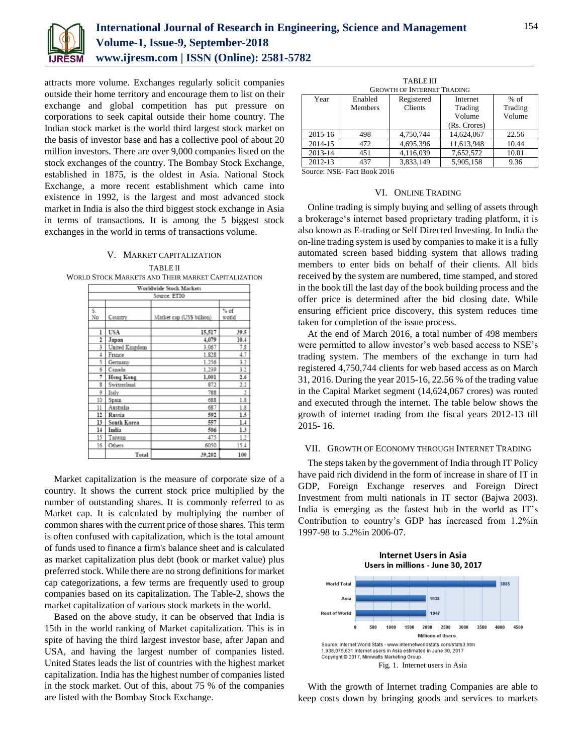

attracts more volume. Exchanges regularly solicit companies outside their home territory and encourage them to list on their exchange and global competition has put pressure on corporations to seek capital outside their home country. The Indian stock market is the world third largest stock market on the basis of investor base and has a collective pool of about 20 million investors. There are over 9,000 companies listed on the stock exchanges of the country. The Bombay Stock Exchange, established in 1875, is the oldest in Asia. National Stock Exchange, a more recent establishment which came into existence in 1992, is the largest and most advanced stock market in India is also the third biggest stock exchange in Asia in terms of transactions. It is among the 5 biggest stock exchanges in the world in terms of transactions volume.

# V. MARKET CAPITALIZATION

TABLE II WORLD STOCK MARKETS AND THEIR MARKET CAPITALIZATION

|                         | <b>Worldwide Stock Markets</b> |                           |                 |  |  |  |  |
|-------------------------|--------------------------------|---------------------------|-----------------|--|--|--|--|
|                         | Source: ETIG                   |                           |                 |  |  |  |  |
|                         |                                |                           |                 |  |  |  |  |
| S.<br>No                | Country                        | Market cap (US\$ billion) | $%$ of<br>world |  |  |  |  |
| ı                       | <b>USA</b>                     | 15,517                    | 39.5            |  |  |  |  |
| 2                       | Japan                          | 4,079                     | 10.4            |  |  |  |  |
| 3                       | United Kingdom                 | 3,067                     | 7.8             |  |  |  |  |
| 4                       | France                         | 1.828                     | 4.7             |  |  |  |  |
| 5                       | Germany                        | 1.256                     | 3.2             |  |  |  |  |
| б                       | Canada                         | 1.239                     | 3.2             |  |  |  |  |
| 7                       | <b>Hong Kong</b>               | 1,001                     | 2.6             |  |  |  |  |
| $\overline{\mathbf{g}}$ | Switzerland                    | 872                       | 2.2             |  |  |  |  |
| 9                       | Italy                          | 788                       | $\overline{2}$  |  |  |  |  |
| 10                      | Spain                          | 688                       | 1.8             |  |  |  |  |
| 11                      | Australia                      | 687                       | 1.8             |  |  |  |  |
| 12                      | Russia                         | 592                       | 1.5             |  |  |  |  |
| 13                      | South Korea                    | 557                       | 1.4             |  |  |  |  |
| 14                      | India                          | 506                       | 1.3             |  |  |  |  |
| 15                      | Taiwan                         | 475                       | 1.2             |  |  |  |  |
| 16                      | Others                         | 6050                      | 15.4            |  |  |  |  |
|                         | Total                          | 39,202                    | 100             |  |  |  |  |

Market capitalization is the measure of corporate size of a country. It shows the current stock price multiplied by the number of outstanding shares. It is commonly referred to as Market cap. It is calculated by multiplying the number of common shares with the current price of those shares. This term is often confused with capitalization, which is the total amount of funds used to finance a firm's balance sheet and is calculated as market capitalization plus debt (book or market value) plus preferred stock. While there are no strong definitions for market cap categorizations, a few terms are frequently used to group companies based on its capitalization. The Table-2, shows the market capitalization of various stock markets in the world.

Based on the above study, it can be observed that India is 15th in the world ranking of Market capitalization. This is in spite of having the third largest investor base, after Japan and USA, and having the largest number of companies listed. United States leads the list of countries with the highest market capitalization. India has the highest number of companies listed in the stock market. Out of this, about 75 % of the companies are listed with the Bombay Stock Exchange.

| <b>TABLE III</b>                  |                |            |              |         |  |  |  |
|-----------------------------------|----------------|------------|--------------|---------|--|--|--|
| <b>GROWTH OF INTERNET TRADING</b> |                |            |              |         |  |  |  |
| Year                              | Enabled        | Registered | Internet     | $%$ of  |  |  |  |
|                                   | <b>Members</b> | Clients    | Trading      | Trading |  |  |  |
|                                   |                |            | Volume       | Volume  |  |  |  |
|                                   |                |            | (Rs. Crores) |         |  |  |  |
| 2015-16                           | 498            | 4,750,744  | 14,624,067   | 22.56   |  |  |  |
| 2014-15                           | 472            | 4,695,396  | 11,613,948   | 10.44   |  |  |  |
| 2013-14                           | 451            | 4,116,039  | 7,652,572    | 10.01   |  |  |  |
| 2012-13                           | 437            | 3,833,149  | 5,905,158    | 9.36    |  |  |  |

Source: NSE- Fact Book 2016

#### VI. ONLINE TRADING

Online trading is simply buying and selling of assets through a brokerage's internet based proprietary trading platform, it is also known as E-trading or Self Directed Investing. In India the on-line trading system is used by companies to make it is a fully automated screen based bidding system that allows trading members to enter bids on behalf of their clients. All bids received by the system are numbered, time stamped, and stored in the book till the last day of the book building process and the offer price is determined after the bid closing date. While ensuring efficient price discovery, this system reduces time taken for completion of the issue process.

At the end of March 2016, a total number of 498 members were permitted to allow investor's web based access to NSE's trading system. The members of the exchange in turn had registered 4,750,744 clients for web based access as on March 31, 2016. During the year 2015-16, 22.56 % of the trading value in the Capital Market segment (14,624,067 crores) was routed and executed through the internet. The table below shows the growth of internet trading from the fiscal years 2012-13 till 2015- 16.

#### VII. GROWTH OF ECONOMY THROUGH INTERNET TRADING

The steps taken by the government of India through IT Policy have paid rich dividend in the form of increase in share of IT in GDP, Foreign Exchange reserves and Foreign Direct Investment from multi nationals in IT sector (Bajwa 2003). India is emerging as the fastest hub in the world as IT's Contribution to country's GDP has increased from 1.2%in 1997-98 to 5.2%in 2006-07.



With the growth of Internet trading Companies are able to keep costs down by bringing goods and services to markets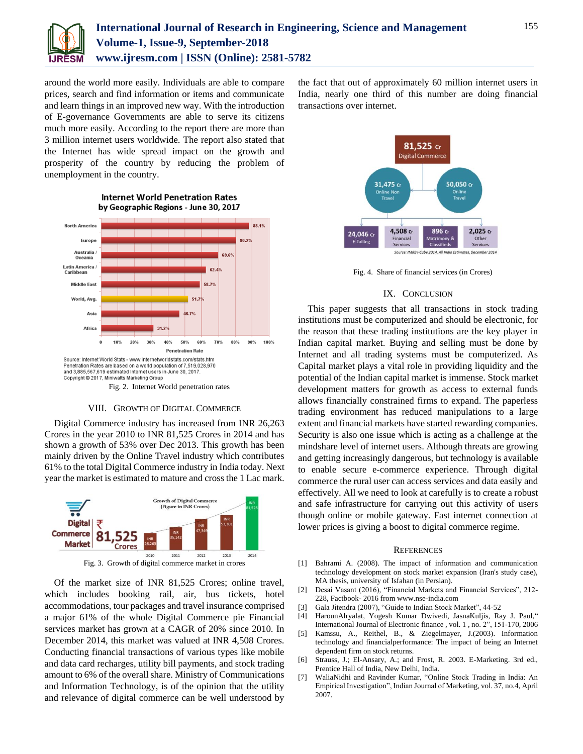

around the world more easily. Individuals are able to compare prices, search and find information or items and communicate and learn things in an improved new way. With the introduction of E-governance Governments are able to serve its citizens much more easily. According to the report there are more than 3 million internet users worldwide. The report also stated that the Internet has wide spread impact on the growth and prosperity of the country by reducing the problem of unemployment in the country.



# **Internet World Penetration Rates** by Geographic Regions - June 30, 2017

#### VIII. GROWTH OF DIGITAL COMMERCE

Digital Commerce industry has increased from INR 26,263 Crores in the year 2010 to INR 81,525 Crores in 2014 and has shown a growth of 53% over Dec 2013. This growth has been mainly driven by the Online Travel industry which contributes 61% to the total Digital Commerce industry in India today. Next year the market is estimated to mature and cross the 1 Lac mark.



Of the market size of INR 81,525 Crores; online travel, which includes booking rail, air, bus tickets, hotel accommodations, tour packages and travel insurance comprised a major 61% of the whole Digital Commerce pie Financial services market has grown at a CAGR of 20% since 2010. In December 2014, this market was valued at INR 4,508 Crores. Conducting financial transactions of various types like mobile and data card recharges, utility bill payments, and stock trading amount to 6% of the overall share. Ministry of Communications and Information Technology, is of the opinion that the utility and relevance of digital commerce can be well understood by

the fact that out of approximately 60 million internet users in India, nearly one third of this number are doing financial transactions over internet.



Fig. 4. Share of financial services (in Crores)

# IX. CONCLUSION

This paper suggests that all transactions in stock trading institutions must be computerized and should be electronic, for the reason that these trading institutions are the key player in Indian capital market. Buying and selling must be done by Internet and all trading systems must be computerized. As Capital market plays a vital role in providing liquidity and the potential of the Indian capital market is immense. Stock market development matters for growth as access to external funds allows financially constrained firms to expand. The paperless trading environment has reduced manipulations to a large extent and financial markets have started rewarding companies. Security is also one issue which is acting as a challenge at the mindshare level of internet users. Although threats are growing and getting increasingly dangerous, but technology is available to enable secure e-commerce experience. Through digital commerce the rural user can access services and data easily and effectively. All we need to look at carefully is to create a robust and safe infrastructure for carrying out this activity of users though online or mobile gateway. Fast internet connection at lower prices is giving a boost to digital commerce regime.

#### **REFERENCES**

- [1] Bahrami A. (2008). The impact of information and communication technology development on stock market expansion (Iran's study case), MA thesis, university of Isfahan (in Persian).
- [2] Desai Vasant (2016), "Financial Markets and Financial Services", 212- 228, Factbook- 2016 from www.nse-india.com
- [3] Gala Jitendra (2007), "Guide to Indian Stock Market", 44-52
- [4] HarounAlryalat, Yogesh Kumar Dwivedi, JasnaKuljis, Ray J. Paul," International Journal of Electronic finance , vol. 1 , no. 2", 151-170, 2006
- [5] Kamssu, A., Reithel, B., & Ziegelmayer, J.(2003). Information technology and financialperformance: The impact of being an Internet dependent firm on stock returns.
- [6] Strauss, J.; El-Ansary, A.; and Frost, R. 2003. E-Marketing. 3rd ed., Prentice Hall of India, New Delhi, India.
- [7] WaliaNidhi and Ravinder Kumar, "Online Stock Trading in India: An Empirical Investigation", Indian Journal of Marketing, vol. 37, no.4, April 2007.